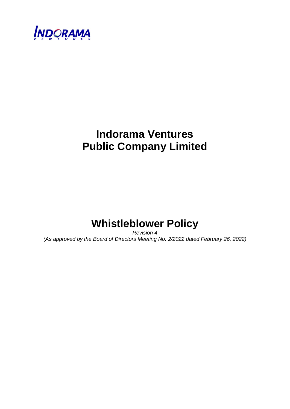

# **Indorama Ventures Public Company Limited**

# **Whistleblower Policy**

*Revision 4 (As approved by the Board of Directors Meeting No. 2/2022 dated February 26, 2022)*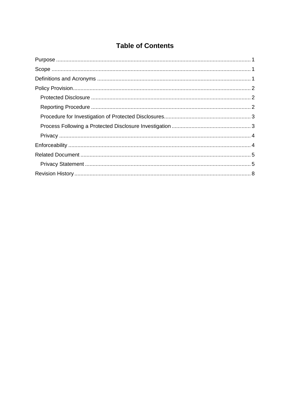## **Table of Contents**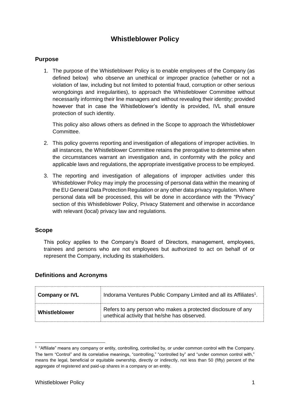## **Whistleblower Policy**

#### <span id="page-2-0"></span>**Purpose**

1. The purpose of the Whistleblower Policy is to enable employees of the Company (as defined below) who observe an unethical or improper practice (whether or not a violation of law, including but not limited to potential fraud, corruption or other serious wrongdoings and irregularities), to approach the Whistleblower Committee without necessarily informing their line managers and without revealing their identity; provided however that in case the Whistleblower's identity is provided, IVL shall ensure protection of such identity.

This policy also allows others as defined in the Scope to approach the Whistleblower Committee.

- 2. This policy governs reporting and investigation of allegations of improper activities. In all instances, the Whistleblower Committee retains the prerogative to determine when the circumstances warrant an investigation and, in conformity with the policy and applicable laws and regulations, the appropriate investigative process to be employed.
- 3. The reporting and investigation of allegations of improper activities under this Whistleblower Policy may imply the processing of personal data within the meaning of the EU General Data Protection Regulation or any other data privacy regulation. Where personal data will be processed, this will be done in accordance with the "Privacy" section of this Whistleblower Policy, Privacy Statement and otherwise in accordance with relevant (local) privacy law and regulations.

#### <span id="page-2-1"></span>**Scope**

-

This policy applies to the Company's Board of Directors, management, employees, trainees and persons who are not employees but authorized to act on behalf of or represent the Company, including its stakeholders.

#### <span id="page-2-2"></span>**Definitions and Acronyms**

| <b>Company or IVL</b> | Indorama Ventures Public Company Limited and all its Affiliates <sup>1</sup> .                               |  |
|-----------------------|--------------------------------------------------------------------------------------------------------------|--|
| Whistleblower         | Refers to any person who makes a protected disclosure of any<br>unethical activity that he/she has observed. |  |

<sup>&</sup>lt;sup>1</sup> "Affiliate" means any company or entity, controlling, controlled by, or under common control with the Company. The term "Control" and its correlative meanings, "controlling," "controlled by" and "under common control with," means the legal, beneficial or equitable ownership, directly or indirectly, not less than 50 (fifty) percent of the aggregate of registered and paid-up shares in a company or an entity.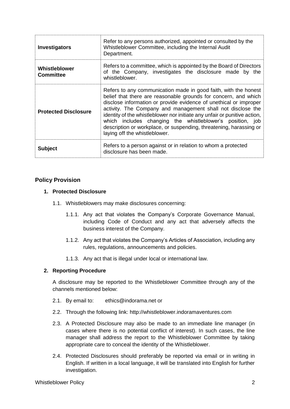| <b>Investigators</b>              | Refer to any persons authorized, appointed or consulted by the<br>Whistleblower Committee, including the Internal Audit<br>Department.                                                                                                                                                                                                                                                                                                                                                                                  |  |  |
|-----------------------------------|-------------------------------------------------------------------------------------------------------------------------------------------------------------------------------------------------------------------------------------------------------------------------------------------------------------------------------------------------------------------------------------------------------------------------------------------------------------------------------------------------------------------------|--|--|
| Whistleblower<br><b>Committee</b> | Refers to a committee, which is appointed by the Board of Directors<br>of the Company, investigates the disclosure made by the<br>whistleblower.                                                                                                                                                                                                                                                                                                                                                                        |  |  |
| <b>Protected Disclosure</b>       | Refers to any communication made in good faith, with the honest<br>belief that there are reasonable grounds for concern, and which<br>disclose information or provide evidence of unethical or improper<br>activity. The Company and management shall not disclose the<br>identity of the whistleblower nor initiate any unfair or punitive action,<br>which includes changing the whistleblower's position, job<br>description or workplace, or suspending, threatening, harassing or<br>laying off the whistleblower. |  |  |
| <b>Subject</b>                    | Refers to a person against or in relation to whom a protected<br>disclosure has been made.                                                                                                                                                                                                                                                                                                                                                                                                                              |  |  |

### <span id="page-3-1"></span><span id="page-3-0"></span>**Policy Provision**

#### **1. Protected Disclosure**

- 1.1. Whistleblowers may make disclosures concerning:
	- 1.1.1. Any act that violates the Company's Corporate Governance Manual, including Code of Conduct and any act that adversely affects the business interest of the Company.
	- 1.1.2. Any act that violates the Company's Articles of Association, including any rules, regulations, announcements and policies.
	- 1.1.3. Any act that is illegal under local or international law.

#### <span id="page-3-2"></span>**2. Reporting Procedure**

A disclosure may be reported to the Whistleblower Committee through any of the channels mentioned below:

- 2.1. By email to: ethics@indorama.net or
- 2.2. Through the following link: http://whistleblower.indoramaventures.com
- 2.3. A Protected Disclosure may also be made to an immediate line manager (in cases where there is no potential conflict of interest). In such cases, the line manager shall address the report to the Whistleblower Committee by taking appropriate care to conceal the identity of the Whistleblower.
- 2.4. Protected Disclosures should preferably be reported via email or in writing in English. If written in a local language, it will be translated into English for further investigation.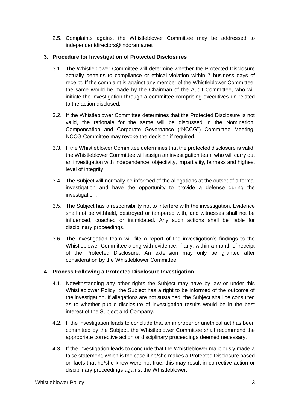2.5. Complaints against the Whistleblower Committee may be addressed to independentdirectors@indorama.net

#### <span id="page-4-0"></span>**3. Procedure for Investigation of Protected Disclosures**

- 3.1. The Whistleblower Committee will determine whether the Protected Disclosure actually pertains to compliance or ethical violation within 7 business days of receipt. If the complaint is against any member of the Whistleblower Committee, the same would be made by the Chairman of the Audit Committee, who will initiate the investigation through a committee comprising executives un-related to the action disclosed.
- 3.2. If the Whistleblower Committee determines that the Protected Disclosure is not valid, the rationale for the same will be discussed in the Nomination, Compensation and Corporate Governance ("NCCG") Committee Meeting. NCCG Committee may revoke the decision if required.
- 3.3. If the Whistleblower Committee determines that the protected disclosure is valid, the Whistleblower Committee will assign an investigation team who will carry out an investigation with independence, objectivity, impartiality, fairness and highest level of integrity.
- 3.4. The Subject will normally be informed of the allegations at the outset of a formal investigation and have the opportunity to provide a defense during the investigation.
- 3.5. The Subject has a responsibility not to interfere with the investigation. Evidence shall not be withheld, destroyed or tampered with, and witnesses shall not be influenced, coached or intimidated. Any such actions shall be liable for disciplinary proceedings.
- 3.6. The investigation team will file a report of the investigation's findings to the Whistleblower Committee along with evidence, if any, within a month of receipt of the Protected Disclosure. An extension may only be granted after consideration by the Whistleblower Committee.

#### <span id="page-4-1"></span>**4. Process Following a Protected Disclosure Investigation**

- 4.1. Notwithstanding any other rights the Subject may have by law or under this Whistleblower Policy, the Subject has a right to be informed of the outcome of the investigation. If allegations are not sustained, the Subject shall be consulted as to whether public disclosure of investigation results would be in the best interest of the Subject and Company.
- 4.2. If the investigation leads to conclude that an improper or unethical act has been committed by the Subject, the Whistleblower Committee shall recommend the appropriate corrective action or disciplinary proceedings deemed necessary.
- 4.3. If the investigation leads to conclude that the Whistleblower maliciously made a false statement, which is the case if he/she makes a Protected Disclosure based on facts that he/she knew were not true, this may result in corrective action or disciplinary proceedings against the Whistleblower.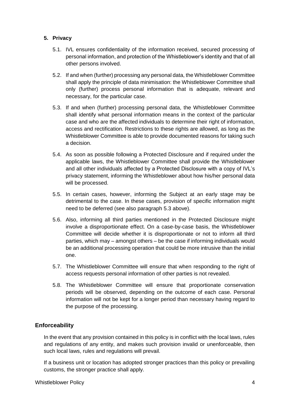#### <span id="page-5-0"></span>**5. Privacy**

- 5.1. IVL ensures confidentiality of the information received, secured processing of personal information, and protection of the Whistleblower's identity and that of all other persons involved.
- 5.2. If and when (further) processing any personal data, the Whistleblower Committee shall apply the principle of data minimisation: the Whistleblower Committee shall only (further) process personal information that is adequate, relevant and necessary, for the particular case.
- 5.3. If and when (further) processing personal data, the Whistleblower Committee shall identify what personal information means in the context of the particular case and who are the affected individuals to determine their right of information, access and rectification. Restrictions to these rights are allowed, as long as the Whistleblower Committee is able to provide documented reasons for taking such a decision.
- 5.4. As soon as possible following a Protected Disclosure and if required under the applicable laws, the Whistleblower Committee shall provide the Whistleblower and all other individuals affected by a Protected Disclosure with a copy of IVL's privacy statement, informing the Whistleblower about how his/her personal data will be processed.
- 5.5. In certain cases, however, informing the Subject at an early stage may be detrimental to the case. In these cases, provision of specific information might need to be deferred (see also paragraph 5.3 above).
- 5.6. Also, informing all third parties mentioned in the Protected Disclosure might involve a disproportionate effect. On a case-by-case basis, the Whistleblower Committee will decide whether it is disproportionate or not to inform all third parties, which may – amongst others – be the case if informing individuals would be an additional processing operation that could be more intrusive than the initial one.
- 5.7. The Whistleblower Committee will ensure that when responding to the right of access requests personal information of other parties is not revealed.
- 5.8. The Whistleblower Committee will ensure that proportionate conservation periods will be observed, depending on the outcome of each case. Personal information will not be kept for a longer period than necessary having regard to the purpose of the processing.

### <span id="page-5-1"></span>**Enforceability**

In the event that any provision contained in this policy is in conflict with the local laws, rules and regulations of any entity, and makes such provision invalid or unenforceable, then such local laws, rules and regulations will prevail.

If a business unit or location has adopted stronger practices than this policy or prevailing customs, the stronger practice shall apply.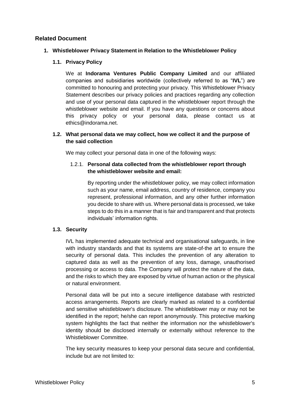#### <span id="page-6-1"></span><span id="page-6-0"></span>**Related Document**

#### **1. Whistleblower Privacy Statement in Relation to the Whistleblower Policy**

#### **1.1. Privacy Policy**

We at **Indorama Ventures Public Company Limited** and our affiliated companies and subsidiaries worldwide (collectively referred to as "**IVL**") are committed to honouring and protecting your privacy. This Whistleblower Privacy Statement describes our privacy policies and practices regarding any collection and use of your personal data captured in the whistleblower report through the whistleblower website and email. If you have any questions or concerns about this privacy policy or your personal data, please contact us at ethics@indorama.net.

#### **1.2. What personal data we may collect, how we collect it and the purpose of the said collection**

We may collect your personal data in one of the following ways:

#### 1.2.1. **Personal data collected from the whistleblower report through the whistleblower website and email:**

By reporting under the whistleblower policy, we may collect information such as your name, email address, country of residence, company you represent, professional information, and any other further information you decide to share with us. Where personal data is processed, we take steps to do this in a manner that is fair and transparent and that protects individuals' information rights.

#### **1.3. Security**

IVL has implemented adequate technical and organisational safeguards, in line with industry standards and that its systems are state-of-the art to ensure the security of personal data. This includes the prevention of any alteration to captured data as well as the prevention of any loss, damage, unauthorised processing or access to data. The Company will protect the nature of the data, and the risks to which they are exposed by virtue of human action or the physical or natural environment.

Personal data will be put into a secure intelligence database with restricted access arrangements. Reports are clearly marked as related to a confidential and sensitive whistleblower's disclosure. The whistleblower may or may not be identified in the report; he/she can report anonymously. This protective marking system highlights the fact that neither the information nor the whistleblower's identity should be disclosed internally or externally without reference to the Whistleblower Committee.

The key security measures to keep your personal data secure and confidential, include but are not limited to: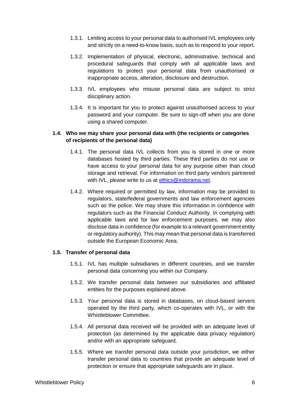- 1.3.1. Limiting access to your personal data to authorised IVL employees only and strictly on a need-to-know basis, such as to respond to your report.
- 1.3.2. Implementation of physical, electronic, administrative, technical and procedural safeguards that comply with all applicable laws and regulations to protect your personal data from unauthorised or inappropriate access, alteration, disclosure and destruction.
- 1.3.3. IVL employees who misuse personal data are subject to strict disciplinary action.
- 1.3.4. It is important for you to protect against unauthorised access to your password and your computer. Be sure to sign-off when you are done using a shared computer.

#### **1.4. Who we may share your personal data with (the recipients or categories of recipients of the personal data)**

- 1.4.1. The personal data IVL collects from you is stored in one or more databases hosted by third parties. These third parties do not use or have access to your personal data for any purpose other than cloud storage and retrieval. For information on third party vendors partnered with IVL, please write to us at [ethics@indorama.net.](mailto:ethics@indorama.net)
- 1.4.2. Where required or permitted by law, information may be provided to regulators, state/federal governments and law enforcement agencies such as the police. We may share this information in confidence with regulators such as the Financial Conduct Authority. In complying with applicable laws and for law enforcement purposes, we may also disclose data in confidence (for example to a relevant government entity or regulatory authority). This may mean that personal data is transferred outside the European Economic Area.

#### **1.5. Transfer of personal data**

- 1.5.1. IVL has multiple subsidiaries in different countries, and we transfer personal data concerning you within our Company.
- 1.5.2. We transfer personal data between our subsidiaries and affiliated entities for the purposes explained above.
- 1.5.3. Your personal data is stored in databases, on cloud-based servers operated by the third party, which co-operates with IVL, or with the Whistleblower Committee.
- 1.5.4. All personal data received will be provided with an adequate level of protection (as determined by the applicable data privacy regulation) and/or with an appropriate safeguard.
- 1.5.5. Where we transfer personal data outside your jurisdiction, we either transfer personal data to countries that provide an adequate level of protection or ensure that appropriate safeguards are in place.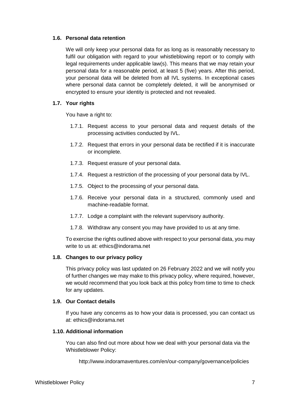#### **1.6. Personal data retention**

We will only keep your personal data for as long as is reasonably necessary to fulfil our obligation with regard to your whistleblowing report or to comply with legal requirements under applicable law(s). This means that we may retain your personal data for a reasonable period, at least 5 (five) years. After this period, your personal data will be deleted from all IVL systems. In exceptional cases where personal data cannot be completely deleted, it will be anonymised or encrypted to ensure your identity is protected and not revealed.

#### **1.7. Your rights**

You have a right to:

- 1.7.1. Request access to your personal data and request details of the processing activities conducted by IVL.
- 1.7.2. Request that errors in your personal data be rectified if it is inaccurate or incomplete.
- 1.7.3. Request erasure of your personal data.
- 1.7.4. Request a restriction of the processing of your personal data by IVL.
- 1.7.5. Object to the processing of your personal data.
- 1.7.6. Receive your personal data in a structured, commonly used and machine-readable format.
- 1.7.7. Lodge a complaint with the relevant supervisory authority.
- 1.7.8. Withdraw any consent you may have provided to us at any time.

To exercise the rights outlined above with respect to your personal data, you may write to us at: ethics@indorama.net

#### **1.8. Changes to our privacy policy**

This privacy policy was last updated on 26 February 2022 and we will notify you of further changes we may make to this privacy policy, where required, however, we would recommend that you look back at this policy from time to time to check for any updates.

#### **1.9. Our Contact details**

If you have any concerns as to how your data is processed, you can contact us at: ethics@indorama.net

#### **1.10. Additional information**

You can also find out more about how we deal with your personal data via the Whistleblower Policy:

http://www.indoramaventures.com/en/our-company/governance/policies